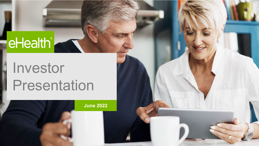# eHealth<sup>®</sup>

## Investor Presentation

**June 2022**

1 Confidential and proprietary | 1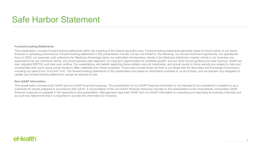### Safe Harbor Statement

#### **Forward-Looking Statements**

This presentation includes forward-looking statements within the meaning of the federal securities laws. Forward-looking statements generally relate to future events or our future financial or operating performance. Forward-looking statements in this presentation include, but are not limited to, the following: our annual enrollment opportunity; our operational focus in 2022; our expected cash collections for Medicare Advantage plans; our estimated memberships; trends in the Medicare distribution market; trends in our business; our expectations for our individual, family, and small business plan segment; our long-term opportunities for profitable growth; and our 2022 annual guidance for total revenue, GAAP net loss, adjusted EBITDA, and total cash outflow. Our expectations and beliefs regarding these matters may not materialize, and actual results in future periods are subject to risks and uncertainties that could cause actual results to differ materially from those projected. These risks include those set forth in our filings with the Securities and Exchange Commission, including our latest Form 10-Q and 10-K. The forward-looking statements in this presentation are based on information available to us as of today, and we disclaim any obligation to update any forward-looking statements, except as required by law.

#### **Non-GAAP Information**

This presentation includes both GAAP and non-GAAP financial measures. The presentation of non-GAAP financial information is not intended to be considered in isolation or as a substitute for results prepared in accordance with GAAP. A reconciliation of the non-GAAP financial measures included in this presentation to the most directly comparable GAAP financial measures is available in the Appendix to this presentation. Management uses both GAAP and non-GAAP information in evaluating and operating its business internally and as such has determined that it is important to provide this information to investors.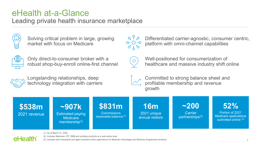### eHealth at-a-Glance

Leading private health insurance marketplace



Solving critical problem in large, growing market with focus on Medicare



Only direct-to-consumer broker with a robust shop-buy-enroll online-first channel



Longstanding relationships, deep technology integration with carriers



Differentiated carrier-agnostic, consumer centric, platform with omni-channel capabilities



Well-positioned for consumerization of healthcare and massive industry shift online





Committed to strong balance sheet and profitable membership and revenue growth

**52%**  Portion of 2021 Medicare applications submitted online (3) **\$538m** 2021 revenue **16m** 2021 unique annual visitors **\$831m Commissions** receivable balance (1) **~200 Carrier** partnerships(2) **~907k** Estimated paying **Medicare** membership<sup>(1)</sup>

### -lAa

(1) As of March 31, 2022. (2) Includes Medicare, IFP, SMB and ancillary products at a sub-carrier level (3) Includes fully unassisted and agent assisted online applications for Medicare Advantage and Medicare Supplement products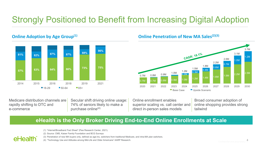## Strongly Positioned to Benefit from Increasing Digital Adoption



#### **Online Adoption by Age Group<sup>(1)</sup> Consumer Series Consumer Penetration of New MA Sales<sup>(2)(3)</sup>**



Medicare distribution channels are rapidly shifting to DTC and e-commerce

Secular shift driving online usage: 74% of seniors likely to make a purchase online $(4)$ 

Online enrollment enables superior scaling vs. call center and direct in-person sales models

Broad consumer adoption of online shopping provides strong tailwind

#### **eHealth is the Only Broker Driving End-to-End Online Enrollments at Scale**

eHealth

(1) "Internet/Broadband Fact Sheet" (Pew Research Center, 2021).

(2) Source: CMS, Kaiser Family Foundation and BCG Surveys

(3) Penetration of new MA buyers only, defined as age-ins, switchers from traditional Medicare, and intra-MA plan switchers.

(4) "Technology Use and Attitudes among Mid-Life and Older Americans" AARP Research.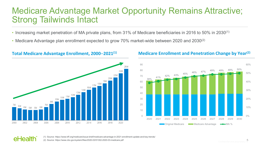### Medicare Advantage Market Opportunity Remains Attractive; Strong Tailwinds Intact

- Increasing market penetration of MA private plans, from 31% of Medicare beneficiaries in 2016 to 50% in 2030<sup>(1)</sup>
- Medicare Advantage plan enrollment expected to grow 70% market-wide between 2020 and 2030<sup>(2)</sup>



#### **Total Medicare Advantage Enrollment, 2000**–**2021(1) Medicare Enrollment and Penetration Change by Year(2)**





(1) Source: https://www.kff.org/medicare/issue-brief/medicare-advantage-in-2021-enrollment-update-and-key-trends/ (2) Source: https://www.cbo.gov/system/files/2020-03/51302-2020-03-medicare.pdf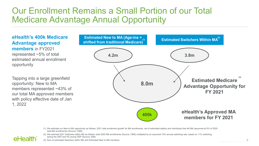### Our Enrollment Remains a Small Portion of our Total Medicare Advantage Annual Opportunity

**eHealth's 400k Medicare Advantage approved members** in FY2021 represented ~5% of total estimated annual enrollment opportunity

Tapping into a large greenfield opportunity: New to MA members represented ~43% of our total MA approved members with policy effective date of Jan 1, 2022

eHealth



(1) We estimate our New to MA opportunity as follows: 2021 total enrollment growth for MA enrollments, net of estimated deaths and individuals that left MA (assumed at 5% of 2020 total MA enrollments) (Source: CMS)

(2) We estimate 2021 Switchers within MA as follows: total 2020 MA enrollments (Source: CMS) multiplied by an assumed 15% annual switching rate, based on 11% switching during the AEP and 4% during OEP (Source: Deft).

(3) Sum of estimated Switchers within MA and Estimated New to MA members.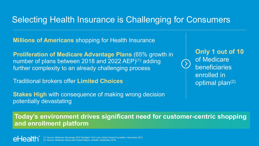### Selecting Health Insurance is Challenging for Consumers

**Millions of Americans** shopping for Health Insurance

**Proliferation of Medicare Advantage Plans** (65% growth in number of plans between 2018 and 2022 AEP)<sup>(1)</sup> adding further complexity to an already challenging process

Traditional brokers offer **Limited Choices**

**Stakes High** with consequence of making wrong decision potentially devastating

**Only 1 out of 10**  of Medicare beneficiaries enrolled in optimal plan<sup>(2)</sup>

**Today's environment drives significant need for customer-centric shopping and enrollment platform**

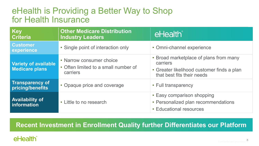### eHealth is Providing a Better Way to Shop for Health Insurance

| Key<br><b>Criteria</b>                               | <b>Other Medicare Distribution</b><br><b>Industry Leaders</b>                | eHealth®                                                                                                                       |
|------------------------------------------------------|------------------------------------------------------------------------------|--------------------------------------------------------------------------------------------------------------------------------|
| <b>Customer</b><br>experience                        | • Single point of interaction only                                           | • Omni-channel experience                                                                                                      |
| <b>Variety of available</b><br><b>Medicare plans</b> | • Narrow consumer choice<br>• Often limited to a small number of<br>carriers | • Broad marketplace of plans from many<br>carriers<br>• Greater likelihood customer finds a plan<br>that best fits their needs |
| <b>Transparency of</b><br>pricing/benefits           | • Opaque price and coverage                                                  | • Full transparency                                                                                                            |
| <b>Availability of</b><br>information                | • Little to no research                                                      | • Easy comparison shopping<br>• Personalized plan recommendations<br>• Educational resources                                   |

### **Recent Investment in Enrollment Quality further Differentiates our Platform**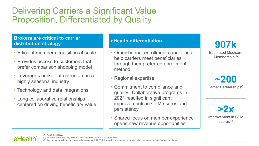### Delivering Carriers a Significant Value Proposition, Differentiated by Quality

#### **Brokers are critical to carrier distribution strategy**

- Efficient member acquisition at scale
- Provides access to customers that prefer comparison shopping model
- Leverages broker infrastructure in a highly seasonal industry
- Technology and data integrations
- Long collaborative relationships centered on driving beneficiary value

#### **eHealth differentiation**

- Omnichannel enrollment capabilities help carriers meet beneficiaries through their preferred enrollment method
- Regional expertise
- Commitment to compliance and quality. Collaborative programs in 2021 resulted in significant improvements in CTM scores and persistency
- Shared focus on member experience opens new revenue opportunities

**907k**

Estimated Medicare Membership<sup>(1)</sup>

**~200** Carrier Partnerships(2)

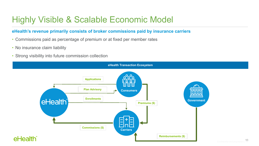## Highly Visible & Scalable Economic Model

#### **eHealth's revenue primarily consists of broker commissions paid by insurance carriers**

- Commissions paid as percentage of premium or at fixed per member rates
- No insurance claim liability
- Strong visibility into future commission collection

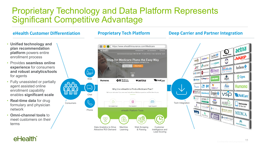### Proprietary Technology and Data Platform Represents Significant Competitive Advantage

#### **Proprietary Tech Platform**

#### **eHealth Customer Differentiation entity of Proprietary Tech Platform Engineer Deep Carrier and Partner Integration**



#### eHealth<sup>®</sup>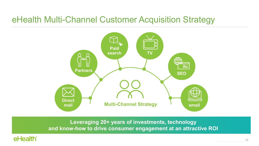### eHealth Multi-Channel Customer Acquisition Strategy



**Leveraging 20+ years of investments, technology and know-how to drive consumer engagement at an attractive ROI**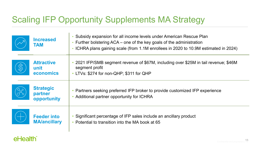## Scaling IFP Opportunity Supplements MA Strategy

|              | <b>Increased</b><br><b>TAM</b>             | • Subsidy expansion for all income levels under American Rescue Plan<br>• Further bolstering ACA – one of the key goals of the administration<br>• ICHRA plans gaining scale (from 1.1M enrollees in 2020 to 10.9M estimated in 2024) |
|--------------|--------------------------------------------|---------------------------------------------------------------------------------------------------------------------------------------------------------------------------------------------------------------------------------------|
| $\bigotimes$ | <b>Attractive</b><br>unit<br>economics     | • 2021 IFP/SMB segment revenue of \$67M, including over \$25M in tail revenue; \$46M<br>segment profit<br>• LTVs: \$274 for non-QHP; \$311 for QHP                                                                                    |
|              | <b>Strategic</b><br>partner<br>opportunity | • Partners seeking preferred IFP broker to provide customized IFP experience<br>• Additional partner opportunity for ICHRA                                                                                                            |
|              | <b>Feeder into</b><br><b>MA/ancillary</b>  | • Significant percentage of IFP sales include an ancillary product<br>• Potential to transition into the MA book at 65                                                                                                                |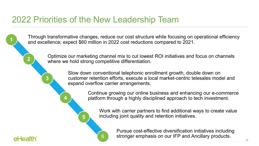### 2022 Priorities of the New Leadership Team

Through transformative changes, reduce our cost structure while focusing on operational efficiency and excellence; expect \$60 million in 2022 cost reductions compared to 2021. **1**

> Optimize our marketing channel mix to cut lowest ROI initiatives and focus on channels where we hold strong competitive differentiation. **2**

> > Slow down conventional telephonic enrollment growth, double down on customer retention efforts, execute a local market-centric telesales model and expand overflow carrier arrangements. **<sup>3</sup>**

> > > Continue growing our online business and enhancing our e-commerce **4** platform through a highly disciplined approach to tech investment.

Work with carrier partners to find additional ways to create value **5** including joint quality and retention initiatives.



Pursue cost-effective diversification initiatives including 6 Stronger emphasis on our IFP and Ancillary products.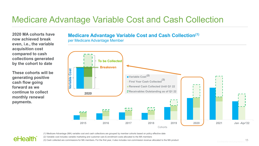### Medicare Advantage Variable Cost and Cash Collection

**2020 MA cohorts have now achieved break even, i.e., the variable acquisition cost compared to cash collections generated by the cohort to date**

**These cohorts will be generating positive cash flow going forward as we continue to collect monthly renewal payments.**

eHealth

#### **Medicare Advantage Variable Cost and Cash Collection(1)**

per Medicare Advantage Member



(1) Medicare Advantage (MA) variable cost and cash collections are grouped by member cohorts based on policy effective date

(2) Variable cost includes variable marketing and customer care & enrollment costs allocated to the MA members

(3) Cash collected are commissions for MA members. For the first year, it also includes non-commission revenue allocated to the MA product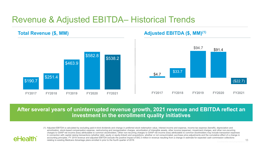### Revenue & Adjusted EBITDA– Historical Trends

\$190.7 \$251.4 \$463.9 \$582.8 \$538.2 **FY2017 FY2018 FY2019 FY2020 FY2021 Total Revenue (\$, MM)**

**AHAAlth** 

#### **Adjusted EBITDA (\$, MM)(1)**



#### **After several years of uninterrupted revenue growth, 2021 revenue and EBITDA reflect an investment in the enrollment quality initiatives**

(1) Adjusted EBITDA is calculated by excluding paid-in-kind dividends and change in preferred stock redemption value, interest income and expense, income tax expense (benefit), depreciation and amortization, stock-based compensation expense, restructuring and reorganization charges, amortization of intangible assets, other income (expense), impairment charges, and other non-recurring charges to GAAP net income (loss) attributable to common stockholders. Other non-recurring charges to GAAP net income (loss) attributable to common stockholders may include transaction expenses in connection with capital raising transactions (whether debt, equity or equity-linked) and acquisitions, whether or not consummated, purchase price adjustments and the cumulative effect of a change in accounting principles. FY 2019 revenue and adjusted EBITDA exclude the positive impact of \$42.3 million in revenue resulting from a change in estimate for expected cash commission collections relating to existing Medicare Advantage plans enrolled in prior to the fourth quarter of 2019.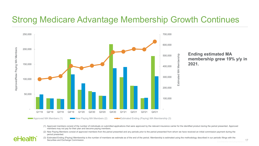### Strong Medicare Advantage Membership Growth Continues



eHealth

**Ending estimated MA membership grew 19% y/y in 2021.**

- (1) Approved members consist of the number of individuals on submitted applications that were approved by the relevant insurance carrier for the identified product during the period presented. Approved members may not pay for their plan and become paying members.
- (2) New Paying Members consist of approved members from the period presented and any periods prior to the period presented from whom we have received an initial commission payment during the period presented.
- (3) Estimated Ending (Paying) Membership is the number of members we estimate as of the end of the period. Membership is estimated using the methodology described in our periodic filings with the Securities and Exchange Commission.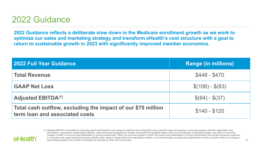### 2022 Guidance

**AHAAIth** 

**2022 Guidance reflects a deliberate slow down in the Medicare enrollment growth as we work to optimize our sales and marketing strategy and transform eHealth's cost structure with a goal to return to sustainable growth in 2023 with significantly improved member economics.**

| <b>2022 Full Year Guidance</b>                                                                 | <b>Range (in millions)</b> |
|------------------------------------------------------------------------------------------------|----------------------------|
| <b>Total Revenue</b>                                                                           | $$448 - $470$              |
| <b>GAAP Net Loss</b>                                                                           | $$(106) - $(83)$           |
| <b>Adjusted EBITDA(1)</b>                                                                      | $$(64) - $(37)$            |
| Total cash outflow, excluding the impact of our \$70 million<br>term loan and associated costs | $$140 - $120$              |

(1) Adjusted EBITDA is calculated by excluding paid-in-kind dividends and change in preferred stock redemption value, interest income and expense, income tax expense (benefit), depreciation and amortization, stock-based compensation expense, restructuring and reorganization charges, amortization of intangible assets, other income (expense), impairment charges, and other non-recurring charges to GAAP net income (loss) attributable to common stockholders. Other non-recurring charges to GAAP net income (loss) attributable to common stockholders may include transaction expenses in connection with capital raising transactions (whether debt, equity or equity-linked) and acquisitions, whether or not consummated, purchase price adjustments and the cumulative effect of a change in accounting principles is the number of members we estimate as of the end of the period.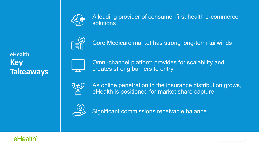

A leading provider of consumer-first health e-commerce solutions



Core Medicare market has strong long-term tailwinds

**eHealth Key Takeaways**



Omni-channel platform provides for scalability and creates strong barriers to entry



As online penetration in the insurance distribution grows, eHealth is positioned for market share capture



Significant commissions receivable balance

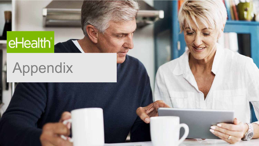# eHealth<sup>®</sup>

# Appendix

20 Confidential and proprietary | 20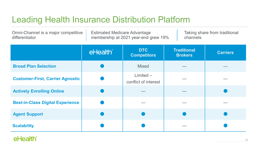## Leading Health Insurance Distribution Platform

Omni-Channel is a major competitive differentiator Estimated Medicare Advantage membership at 2021 year-end grew 19% Taking share from traditional channels

|                                         | eHealth® | <b>DTC</b><br><b>Competitors</b>    | <b>Traditional</b><br><b>Brokers</b> | <b>Carriers</b> |
|-----------------------------------------|----------|-------------------------------------|--------------------------------------|-----------------|
| <b>Broad Plan Selection</b>             |          | <b>Mixed</b>                        |                                      |                 |
| <b>Customer-First, Carrier Agnostic</b> |          | $Limited -$<br>conflict of interest |                                      |                 |
| <b>Actively Enrolling Online</b>        |          |                                     |                                      |                 |
| <b>Best-in-Class Digital Experience</b> |          |                                     |                                      |                 |
| <b>Agent Support</b>                    |          |                                     |                                      |                 |
| <b>Scalability</b>                      |          |                                     |                                      |                 |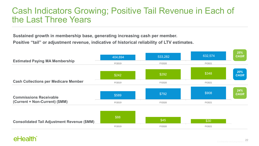### Cash Indicators Growing; Positive Tail Revenue in Each of the Last Three Years

**Sustained growth in membership base, generating increasing cash per member.** 

**Positive "tail" or adjustment revenue, indicative of historical reliability of LTV estimates.**

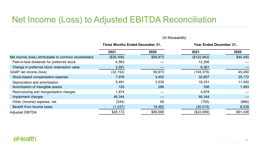### Net Income (Loss) to Adjusted EBITDA Reconciliation

|                                                       | <b>Three Months Ended December 31,</b> |          | <b>Year Ended December 31,</b> |          |
|-------------------------------------------------------|----------------------------------------|----------|--------------------------------|----------|
|                                                       | 2021                                   | 2020     | 2021                           | 2020     |
| Net income (loss) attributable to common stockholders | (\$39,306)                             | \$59,873 | (\$122,942)                    | \$45,450 |
| Paid-in-kind dividends for preferred stock            | 4,563                                  |          | 12,206                         |          |
| Change in preferred stock redemption value            | 2,591                                  |          | 6,361                          |          |
| GAAP net income (loss)                                | (32, 152)                              | 59,873   | (104, 375)                     | 45,450   |
| Stock-based compensation expense                      | 7,976                                  | 3,450    | 32,857                         | 25,172   |
| Depreciation and amortization                         | 5,491                                  | 3,539    | 18,331                         | 11,450   |
| Amortization of intangible assets                     | 120                                    | 286      | 536                            | 1,493    |
| Restructuring and reorganization charges              | 1,874                                  |          | 4,878                          |          |
| Impairment charges                                    | 46,344                                 |          | 46,344                         |          |
| Other (income) expense, net                           | (244)                                  | 58       | (755)                          | (666)    |
| Benefit from income taxes                             | (1, 237)                               | 19,462   | (20, 515)                      | 8,539    |
| <b>Adjusted EBITDA</b>                                | \$28,172                               | \$86,668 | (\$22,699)                     | \$91,438 |

#### (In thousands)